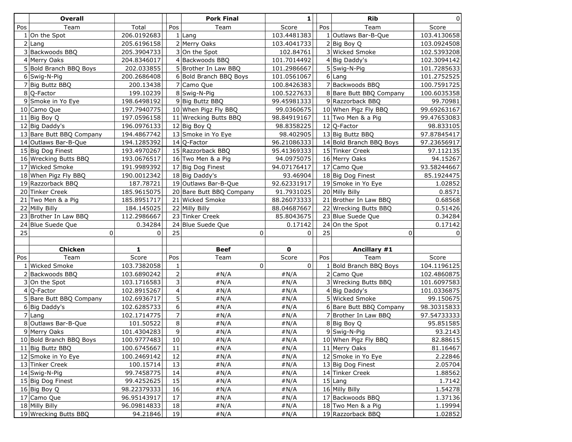|     | <b>Overall</b>           |              |                         | <b>Pork Final</b>        | 1              |     | <b>Rib</b>              | $\Omega$           |
|-----|--------------------------|--------------|-------------------------|--------------------------|----------------|-----|-------------------------|--------------------|
| Pos | Team                     | Total        | Pos                     | Team                     | Score          | Pos | Team                    | Score              |
|     | $1$ On the Spot          | 206.0192683  |                         | $1$ Lang                 | 103.4481383    |     | 1 Outlaws Bar-B-Que     | 103.4130658        |
|     | $2$ Lang                 | 205.6196158  |                         | 2 Merry Oaks             | 103.4041733    |     | 2 Big BoyQ              | 103.0924508        |
|     | 3 Backwoods BBQ          | 205.3904733  |                         | 3 On the Spot            | 102.84761      |     | 3 Wicked Smoke          | 102.5393208        |
|     | 4 Merry Oaks             | 204.8346017  |                         | 4 Backwoods BBQ          | 101.7014492    |     | $4 Big$ Daddy's         | 102.3094142        |
|     | 5 Bold Branch BBQ Boys   | 202.033855   |                         | 5 Brother In Law BBQ     | 101.2986667    |     | 5 Swig-N-Pig            | 101.7285633        |
|     | 6 Swig-N-Pig             | 200.2686408  |                         | 6 Bold Branch BBQ Boys   | 101.0561067    |     | $6$ Lang                | 101.2752525        |
|     | 7 Big Buttz BBQ          | 200.13438    |                         | 7 Camo Que               | 100.8426383    |     | 7 Backwoods BBQ         | 100.7591725        |
|     | $8$ Q-Factor             | 199.10239    |                         | 8 Swig-N-Pig             | 100.5227633    |     | 8 Bare Butt BBQ Company | 100.6035358        |
|     | 9 Smoke in Yo Eye        | 198.6498192  |                         | 9 Big Buttz BBQ          | 99.45981333    |     | 9 Razzorback BBQ        | 99.70981           |
|     | 10 Camo Que              | 197.7940775  |                         | 10 When Pigz Fly BBQ     | 99.0360675     |     | 10 When Pigz Fly BBQ    | 99.69263167        |
| 11  | Big Boy Q                | 197.0596158  |                         | 11 Wrecking Butts BBQ    | 98.84919167    |     | 11 Two Men & a Pig      | 99.47653083        |
|     | 12 Big Daddy's           | 196.0976133  |                         | $12$ Big Boy Q           | 98.8358225     |     | 12 Q-Factor             | 98.833105          |
|     | 13 Bare Butt BBQ Company | 194.4867742  |                         | 13 Smoke in Yo Eye       | 98.402905      |     | 13 Big Buttz BBQ        | 97.87845417        |
|     | 14 Outlaws Bar-B-Que     | 194.1285392  |                         | 14 Q-Factor              | 96.21086333    |     | 14 Bold Branch BBQ Boys | 97.23656917        |
|     | 15 Big Dog Finest        | 193.4970267  |                         | 15 Razzorback BBQ        | 95.41369333    |     | 15 Tinker Creek         | 97.112135          |
|     | 16 Wrecking Butts BBQ    | 193.0676517  |                         | 16 Two Men & a Pig       | 94.0975075     |     | 16 Merry Oaks           | 94.15267           |
|     | 17 Wicked Smoke          | 191.9989392  |                         | 17 Big Dog Finest        | 94.07176417    |     | 17 Camo Que             | 93.58244667        |
|     | 18 When Pigz Fly BBQ     | 190.0012342  |                         | 18 Big Daddy's           | 93.46904       |     | 18 Big Dog Finest       | 85.1924475         |
|     | 19 Razzorback BBQ        | 187.78721    |                         | 19 Outlaws Bar-B-Que     | 92.62331917    |     | 19 Smoke in Yo Eye      | 1.02852            |
|     | 20 Tinker Creek          | 185.9615075  |                         | 20 Bare Butt BBQ Company | 91.7931025     |     | 20 Milly Billy          | 0.8571             |
| 21  | Two Men & a Pig          | 185.8951717  |                         | 21 Wicked Smoke          | 88.26073333    |     | 21 Brother In Law BBQ   | 0.68568            |
|     | 22 Milly Billy           | 184.145025   |                         | 22 Milly Billy           | 88.04687667    |     | 22 Wrecking Butts BBQ   | 0.51426            |
|     | 23 Brother In Law BBQ    | 112.2986667  |                         | 23 Tinker Creek          | 85.8043675     |     | 23 Blue Suede Que       | 0.34284            |
| 24  | Blue Suede Que           | 0.34284      |                         | 24 Blue Suede Que        | 0.17142        |     | 24 On the Spot          | 0.17142            |
| 25  | 0                        | $\Omega$     | 25                      | 0                        | $\Omega$       | 25  | 0                       |                    |
|     |                          |              |                         |                          |                |     |                         |                    |
|     | <b>Chicken</b>           | $\mathbf{1}$ |                         | <b>Beef</b>              | $\mathbf 0$    |     | Ancillary #1            |                    |
| Pos | Team                     | Score        | Pos                     | Team                     | Score          | Pos | Team                    | Score              |
|     | 1 Wicked Smoke           | 103.7382058  | $\mathbf 1$             | 0                        | $\overline{0}$ |     | 1 Bold Branch BBQ Boys  | 104.1196125        |
|     | 2 Backwoods BBQ          | 103.6890242  | $\overline{2}$          | #N/A                     | #N/A           |     | 2 Camo Que              | 102.4860875        |
|     | 3 On the Spot            | 103.1716583  | 3                       | #N/A                     | #N/A           |     | 3 Wrecking Butts BBQ    | 101.6097583        |
|     | $4 Q$ -Factor            | 102.8915267  | $\overline{\mathbf{4}}$ | #N/A                     | #N/A           |     | $4 Big$ Daddy's         | 101.0336875        |
|     | 5 Bare Butt BBQ Company  | 102.6936717  | 5                       | #N/A                     | #N/A           |     | 5 Wicked Smoke          | 99.150675          |
|     | 6 Big Daddy's            | 102.6285733  | $\boldsymbol{6}$        | #N/A                     | #N/A           |     | 6 Bare Butt BBQ Company | 98.30315833        |
|     | $7$ Lang                 | 102.1714775  | $\overline{7}$          | #N/A                     | #N/A           |     | 7 Brother In Law BBQ    | 97.54733333        |
|     | 8 Outlaws Bar-B-Que      | 101.50522    | 8                       | #N/A                     | #N/A           |     | 8Big Boy Q              | 95.851585          |
|     | 9 Merry Oaks             | 101.4304283  | 9                       | #N/A                     | #N/A           |     | 9Swig-N-Pig             | 93.2143            |
|     | 10 Bold Branch BBQ Boys  | 100.9777483  | 10                      | #N/A                     | #N/A           |     | 10 When Pigz Fly BBQ    | 82.88615           |
|     | 11 Big Buttz BBQ         | 100.6745667  | 11                      | #N/A                     | #N/A           |     | 11 Merry Oaks           | 81.16467           |
|     | 12 Smoke in Yo Eye       | 100.2469142  | 12                      | #N/A                     | #N/A           |     | 12 Smoke in Yo Eye      | 2.22846<br>2.05704 |
|     | 13 Tinker Creek          | 100.15714    | 13                      | #N/A                     | #N/A           |     | 13 Big Dog Finest       |                    |
|     | 14 Swig-N-Pig            | 99.7458775   | 14                      | #N/A                     | #N/A           |     | 14 Tinker Creek         | 1.88562            |
|     | 15 Big Dog Finest        | 99.4252625   | 15                      | #N/A                     | #N/A           |     | $15$ Lang               | 1.7142             |
|     | 16 Big Boy Q             | 98.22379333  | 16<br>17                | #N/A                     | #N/A           |     | 16 Milly Billy          | 1.54278            |
|     | 17 Camo Que              | 96.95143917  | 18                      | #N/A                     | #N/A           |     | 17 Backwoods BBQ        | 1.37136            |
|     | 18 Milly Billy           | 96.09814833  |                         | #N/A                     | #N/A           |     | 18 Two Men & a Pig      | 1.19994            |
|     | 19 Wrecking Butts BBQ    | 94.21846     | 19                      | #N/A                     | #N/A           |     | 19 Razzorback BBQ       | 1.02852            |